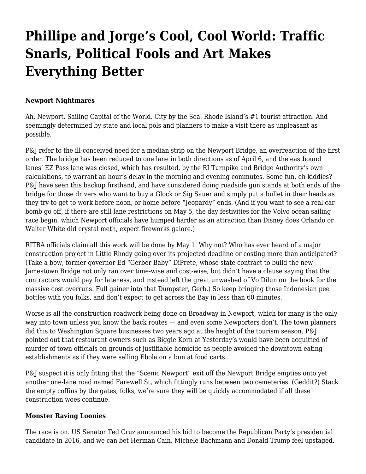# **[Phillipe and Jorge's Cool, Cool World: Traffic](https://motifri.com/phillipe-and-jorges-cool-cool-world-2/) [Snarls, Political Fools and Art Makes](https://motifri.com/phillipe-and-jorges-cool-cool-world-2/) [Everything Better](https://motifri.com/phillipe-and-jorges-cool-cool-world-2/)**

#### **Newport Nightmares**

Ah, Newport. Sailing Capital of the World. City by the Sea. Rhode Island's #1 tourist attraction. And seemingly determined by state and local pols and planners to make a visit there as unpleasant as possible.

P&J refer to the ill-conceived need for a median strip on the Newport Bridge, an overreaction of the first order. The bridge has been reduced to one lane in both directions as of April 6, and the eastbound lanes' EZ Pass lane was closed, which has resulted, by the RI Turnpike and Bridge Authority's own calculations, to warrant an hour's delay in the morning and evening commutes. Some fun, eh kiddies? P&J have seen this backup firsthand, and have considered doing roadside gun stands at both ends of the bridge for those drivers who want to buy a Glock or Sig Sauer and simply put a bullet in their heads as they try to get to work before noon, or home before "Jeopardy" ends. (And if you want to see a real car bomb go off, if there are still lane restrictions on May 5, the day festivities for the Volvo ocean sailing race begin, which Newport officials have humped harder as an attraction than Disney does Orlando or Walter White did crystal meth, expect fireworks galore.)

RITBA officials claim all this work will be done by May 1. Why not? Who has ever heard of a major construction project in Little Rhody going over its projected deadline or costing more than anticipated? (Take a bow, former governor Ed "Gerber Baby" DiPrete, whose state contract to build the new Jamestown Bridge not only ran over time-wise and cost-wise, but didn't have a clause saying that the contractors would pay for lateness, and instead left the great unwashed of Vo Dilun on the hook for the massive cost overruns. Full gainer into that Dumpster, Gerb.) So keep bringing those Indonesian pee bottles with you folks, and don't expect to get across the Bay in less than 60 minutes.

Worse is all the construction roadwork being done on Broadway in Newport, which for many is the only way into town unless you know the back routes — and even some Newporters don't. The town planners did this to Washington Square businesses two years ago at the height of the tourism season. P&J pointed out that restaurant owners such as Biggie Korn at Yesterday's would have been acquitted of murder of town officials on grounds of justifiable homicide as people avoided the downtown eating establishments as if they were selling Ebola on a bun at food carts.

P&J suspect it is only fitting that the "Scenic Newport" exit off the Newport Bridge empties onto yet another one-lane road named Farewell St, which fittingly runs between two cemeteries. (Geddit?) Stack the empty coffins by the gates, folks, we're sure they will be quickly accommodated if all these construction woes continue.

#### **Monster Raving Loonies**

The race is on. US Senator Ted Cruz announced his bid to become the Republican Party's presidential candidate in 2016, and we can bet Herman Cain, Michele Bachmann and Donald Trump feel upstaged.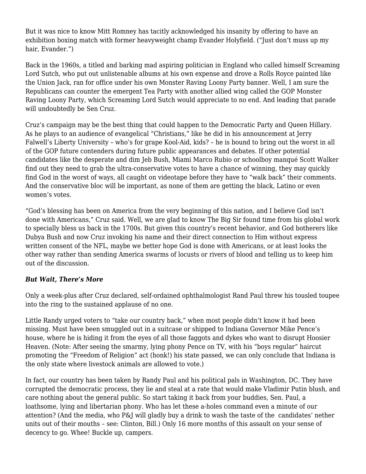But it was nice to know Mitt Romney has tacitly acknowledged his insanity by offering to have an exhibition boxing match with former heavyweight champ Evander Holyfield. ("Just don't muss up my hair, Evander.")

Back in the 1960s, a titled and barking mad aspiring politician in England who called himself Screaming Lord Sutch, who put out unlistenable albums at his own expense and drove a Rolls Royce painted like the Union Jack, ran for office under his own Monster Raving Loony Party banner. Well, I am sure the Republicans can counter the emergent Tea Party with another allied wing called the GOP Monster Raving Loony Party, which Screaming Lord Sutch would appreciate to no end. And leading that parade will undoubtedly be Sen Cruz.

Cruz's campaign may be the best thing that could happen to the Democratic Party and Queen Hillary. As he plays to an audience of evangelical "Christians," like he did in his announcement at Jerry Falwell's Liberty University – who's for grape Kool-Aid, kids? – he is bound to bring out the worst in all of the GOP future contenders during future public appearances and debates. If other potential candidates like the desperate and dim Jeb Bush, Miami Marco Rubio or schoolboy manqué Scott Walker find out they need to grab the ultra-conservative votes to have a chance of winning, they may quickly find God in the worst of ways, all caught on videotape before they have to "walk back" their comments. And the conservative bloc will be important, as none of them are getting the black, Latino or even women's votes.

"God's blessing has been on America from the very beginning of this nation, and I believe God isn't done with Americans," Cruz said. Well, we are glad to know The Big Sir found time from his global work to specially bless us back in the 1700s. But given this country's recent behavior, and God botherers like Dubya Bush and now Cruz invoking his name and their direct connection to Him without express written consent of the NFL, maybe we better hope God is done with Americans, or at least looks the other way rather than sending America swarms of locusts or rivers of blood and telling us to keep him out of the discussion.

### *But Wait, There's More*

Only a week-plus after Cruz declared, self-ordained ophthalmologist Rand Paul threw his tousled toupee into the ring to the sustained applause of no one.

Little Randy urged voters to "take our country back," when most people didn't know it had been missing. Must have been smuggled out in a suitcase or shipped to Indiana Governor Mike Pence's house, where he is hiding it from the eyes of all those faggots and dykes who want to disrupt Hoosier Heaven. (Note: After seeing the smarmy, lying phony Pence on TV, with his "boys regular" haircut promoting the "Freedom of Religion" act (honk!) his state passed, we can only conclude that Indiana is the only state where livestock animals are allowed to vote.)

In fact, our country has been taken by Randy Paul and his political pals in Washington, DC. They have corrupted the democratic process, they lie and steal at a rate that would make Vladimir Putin blush, and care nothing about the general public. So start taking it back from your buddies, Sen. Paul, a loathsome, lying and libertarian phony. Who has let these a-holes command even a minute of our attention? (And the media, who P&J will gladly buy a drink to wash the taste of the candidates' nether units out of their mouths – see: Clinton, Bill.) Only 16 more months of this assault on your sense of decency to go. Whee! Buckle up, campers.